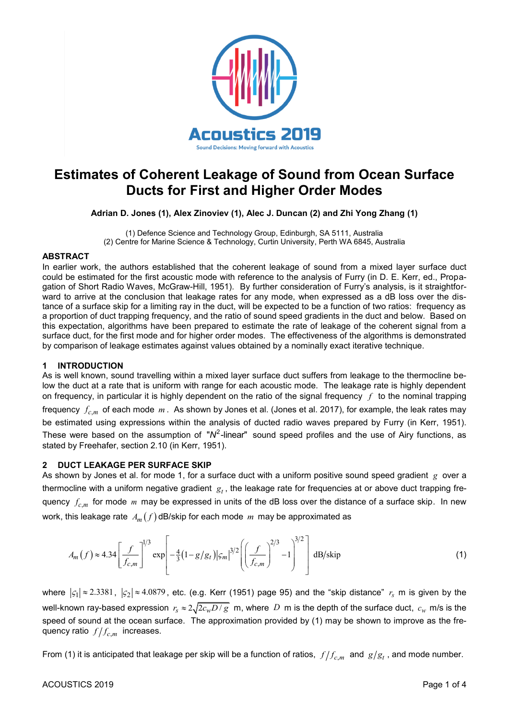

# **Estimates of Coherent Leakage of Sound from Ocean Surface Ducts for First and Higher Order Modes**

**Adrian D. Jones (1), Alex Zinoviev (1), Alec J. Duncan (2) and Zhi Yong Zhang (1)**

(1) Defence Science and Technology Group, Edinburgh, SA 5111, Australia (2) Centre for Marine Science & Technology, Curtin University, Perth WA 6845, Australia

## **ABSTRACT**

In earlier work, the authors established that the coherent leakage of sound from a mixed layer surface duct could be estimated for the first acoustic mode with reference to the analysis of Furry (in D. E. Kerr, ed., Propagation of Short Radio Waves, McGraw-Hill, 1951). By further consideration of Furry's analysis, is it straightforward to arrive at the conclusion that leakage rates for any mode, when expressed as a dB loss over the distance of a surface skip for a limiting ray in the duct, will be expected to be a function of two ratios: frequency as a proportion of duct trapping frequency, and the ratio of sound speed gradients in the duct and below. Based on this expectation, algorithms have been prepared to estimate the rate of leakage of the coherent signal from a surface duct, for the first mode and for higher order modes. The effectiveness of the algorithms is demonstrated by comparison of leakage estimates against values obtained by a nominally exact iterative technique.

# **1 INTRODUCTION**

As is well known, sound travelling within a mixed layer surface duct suffers from leakage to the thermocline below the duct at a rate that is uniform with range for each acoustic mode. The leakage rate is highly dependent on frequency, in particular it is highly dependent on the ratio of the signal frequency *f* to the nominal trapping frequency  $\,f_{c,m}\,$  of each mode  $\,m\,.$  As shown by Jones et al. (Jones et al. 2017), for example, the leak rates may be estimated using expressions within the analysis of ducted radio waves prepared by Furry (in Kerr, 1951). These were based on the assumption of " $N^2$ -linear" sound speed profiles and the use of Airy functions, as stated by Freehafer, section 2.10 (in Kerr, 1951).

## **2 DUCT LEAKAGE PER SURFACE SKIP**

As shown by Jones et al. for mode 1, for a surface duct with a uniform positive sound speed gradient  $\,g\,$  over a thermocline with a uniform negative gradient  $|g_t|$ , the leakage rate for frequencies at or above duct trapping frequency  $f_{c,m}$  for mode  $m$  may be expressed in units of the dB loss over the distance of a surface skip. In new

work, this leakage rate 
$$
A_m(f)
$$
 dB/skip for each mode *m* may be approximated as\n
$$
A_m(f) \approx 4.34 \left[ \frac{f}{f_{c,m}} \right]^{1/3} \exp \left[ -\frac{4}{3} (1 - g/g_t) |\varsigma_m|^{3/2} \left( \left( \frac{f}{f_{c,m}} \right)^{2/3} - 1 \right)^{3/2} \right] \, \text{dB/skip} \tag{1}
$$

where  $|\varsigma_1|\approx$  2.3381,  $|\varsigma_2|\approx$  4.0879, etc. (e.g. Kerr (1951) page 95) and the "skip distance"  $r_s$  m is given by the well-known ray-based expression  $\, r_{\rm s}\approx2\sqrt{2}c_wD$  /  $g$   $\,$  m, where  $\,D\,$  m is the depth of the surface duct,  $\,c_w$  m/s is the speed of sound at the ocean surface. The approximation provided by (1) may be shown to improve as the frequency ratio  $f/f_{c,m}$  increases.

From (1) it is anticipated that leakage per skip will be a function of ratios,  $f/f_{c,m}$  and  $\,g/g_t$  , and mode number.

## ACOUSTICS 2019 Page 1 of 4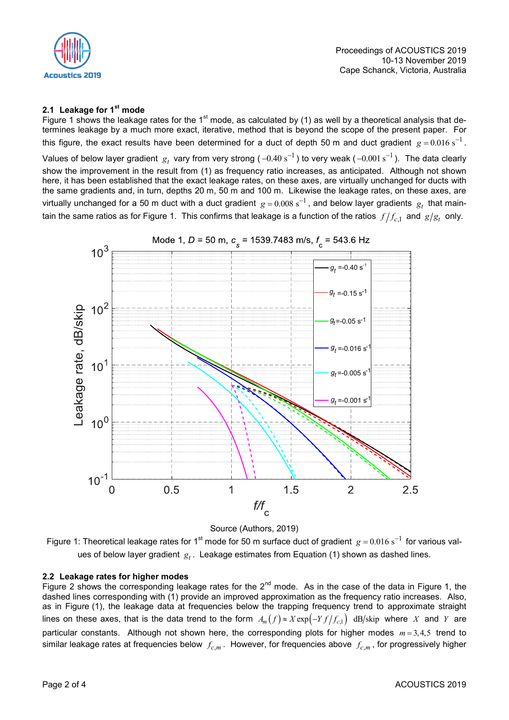

# **2.1 Leakage for 1st mode**

Figure 1 shows the leakage rates for the  $1<sup>st</sup>$  mode, as calculated by (1) as well by a theoretical analysis that determines leakage by a much more exact, iterative, method that is beyond the scope of the present paper. For this figure, the exact results have been determined for a duct of depth 50 m and duct gradient  $g = 0.016$  s<sup>-1</sup>.

Values of below layer gradient  $\,g_t\,$  vary from very strong (  $-0.40$   $\rm s^{-1}$  ) to very weak (  $-0.001$   $\rm s^{-1}$  ). The data clearly show the improvement in the result from (1) as frequency ratio increases, as anticipated. Although not shown here, it has been established that the exact leakage rates, on these axes, are virtually unchanged for ducts with the same gradients and, in turn, depths 20 m, 50 m and 100 m. Likewise the leakage rates, on these axes, are virtually unchanged for a 50 m duct with a duct gradient  $\,g$  = 0.008 s<sup>-1</sup> , and below layer gradients  $\,g_t\,$  that maintain the same ratios as for Figure 1. This confirms that leakage is a function of the ratios  $\,f/f_{c,1}\,$  and  $\,g/g_t\,$  only.





Figure 1: Theoretical leakage rates for 1<sup>st</sup> mode for 50 m surface duct of gradient  $g = 0.016$  s<sup>-1</sup> for various values of below layer gradient  $\boldsymbol{g}_t$ . Leakage estimates from Equation (1) shown as dashed lines.

#### **2.2 Leakage rates for higher modes**

Figure 2 shows the corresponding leakage rates for the  $2^{nd}$  mode. As in the case of the data in Figure 1, the dashed lines corresponding with (1) provide an improved approximation as the frequency ratio increases. Also, as in Figure (1), the leakage data at frequencies below the trapping frequency trend to approximate straight as in Figure (1), the leakage data at nequencies below the trapping nequency trend to approximate straight lines on these axes, that is the data trend to the form  $A_m(f) \approx X \exp(-Yf/f_{c,1})$  dB/skip where *X* and *Y* are particular constants. Although not shown here, the corresponding plots for higher modes  $m = 3,4,5$  trend to similar leakage rates at frequencies below  $f_{c,m}$ . However, for frequencies above  $f_{c,m}$ , for progressively higher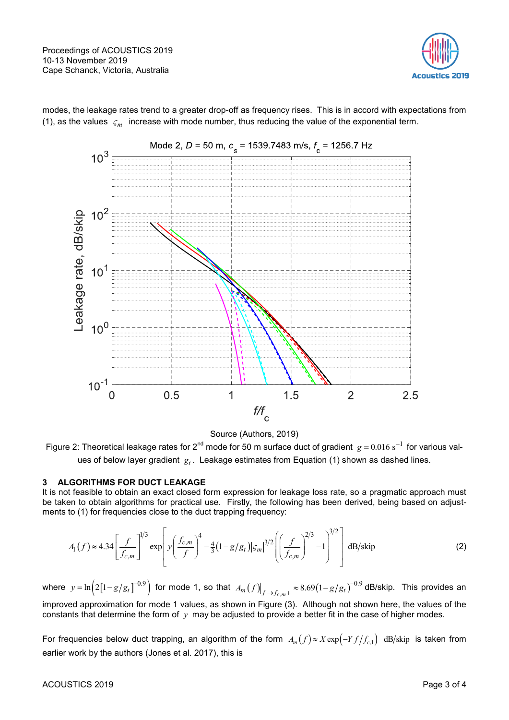

modes, the leakage rates trend to a greater drop-off as frequency rises. This is in accord with expectations from (1), as the values  $|\varsigma_m|$  increase with mode number, thus reducing the value of the exponential term.



Source (Authors, 2019)

Figure 2: Theoretical leakage rates for 2<sup>nd</sup> mode for 50 m surface duct of gradient  $g = 0.016 s^{-1}$  for various values of below layer gradient  $\boldsymbol{g}_t$  . Leakage estimates from Equation (1) shown as dashed lines.

## **3 ALGORITHMS FOR DUCT LEAKAGE**

It is not feasible to obtain an exact closed form expression for leakage loss rate, so a pragmatic approach must be taken to obtain algorithms for practical use. Firstly, the following has been derived, being based on adjust-

be taken to obtain algorithms for practical use. Firstly, the following has been derived, being based on adjustments to (1) for frequencies close to the duct trapping frequency:  
\n
$$
A_1(f) \approx 4.34 \left[ \frac{f}{f_{c,m}} \right]^{1/3} \exp \left[ y \left( \frac{f_{c,m}}{f} \right)^4 - \frac{4}{3} (1 - g/g_t) |\varsigma_m|^{3/2} \left( \left( \frac{f}{f_{c,m}} \right)^{2/3} - 1 \right)^{3/2} \right]
$$
\ndB/skip (2)

where  $y = \ln(2[1-g/g_t]^{-0.9})$  for mode 1, so that  $A_m(f)|_{f \to f_{c,m^+}} \approx 8.69(1-g/g_t)^{-0.9}$  dB/skip. This provides an improved approximation for mode 1 values, as shown in Figure (3). Although not shown here, the values of the constants that determine the form of  $\,y\,$  may be adjusted to provide a better fit in the case of higher modes.

For frequencies below duct trapping, an algorithm of the form  $A_m(f) \approx X \exp\left(-Y f/f_{c,1}\right)$  dB/skip is taken from earlier work by the authors (Jones et al. 2017), this is

## ACOUSTICS 2019 Page 3 of 4